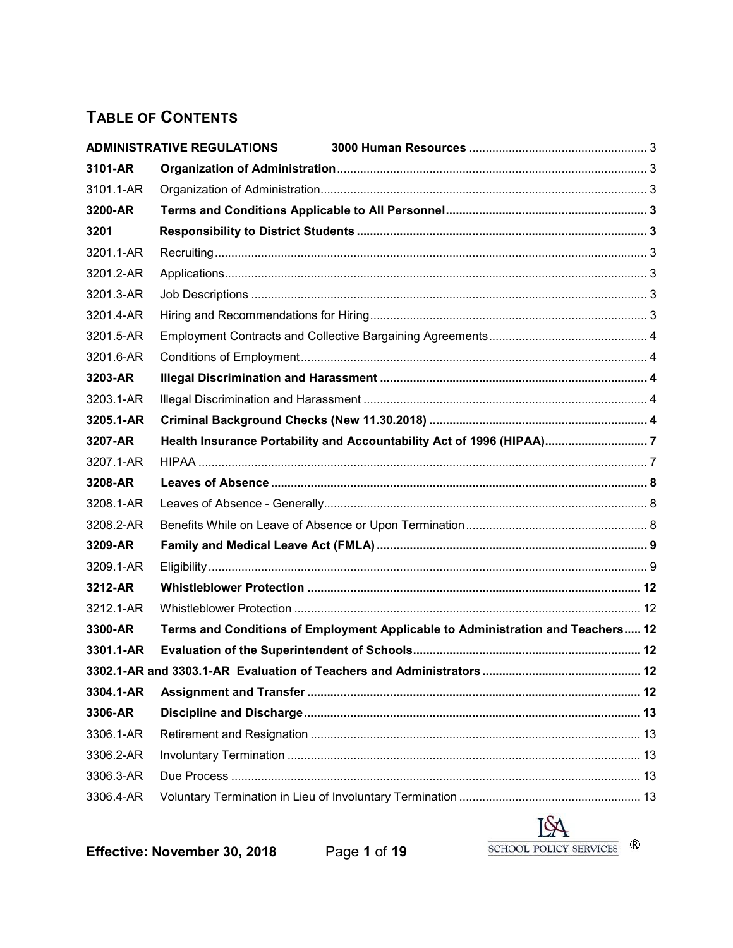# **TABLE OF CONTENTS**

|           | <b>ADMINISTRATIVE REGULATIONS</b>                                               |  |
|-----------|---------------------------------------------------------------------------------|--|
| 3101-AR   |                                                                                 |  |
| 3101.1-AR |                                                                                 |  |
| 3200-AR   |                                                                                 |  |
| 3201      |                                                                                 |  |
| 3201.1-AR |                                                                                 |  |
| 3201.2-AR |                                                                                 |  |
| 3201.3-AR |                                                                                 |  |
| 3201.4-AR |                                                                                 |  |
| 3201.5-AR |                                                                                 |  |
| 3201.6-AR |                                                                                 |  |
| 3203-AR   |                                                                                 |  |
| 3203.1-AR |                                                                                 |  |
| 3205.1-AR |                                                                                 |  |
| 3207-AR   | Health Insurance Portability and Accountability Act of 1996 (HIPAA) 7           |  |
| 3207.1-AR |                                                                                 |  |
| 3208-AR   |                                                                                 |  |
| 3208.1-AR |                                                                                 |  |
| 3208.2-AR |                                                                                 |  |
| 3209-AR   |                                                                                 |  |
| 3209.1-AR |                                                                                 |  |
| 3212-AR   |                                                                                 |  |
| 3212.1-AR |                                                                                 |  |
| 3300-AR   | Terms and Conditions of Employment Applicable to Administration and Teachers 12 |  |
| 3301.1-AR |                                                                                 |  |
|           |                                                                                 |  |
| 3304.1-AR |                                                                                 |  |
| 3306-AR   |                                                                                 |  |
| 3306.1-AR |                                                                                 |  |
|           |                                                                                 |  |
| 3306.2-AR |                                                                                 |  |
| 3306.3-AR |                                                                                 |  |

**Effective: November 30, 2018** Page **1** of **19**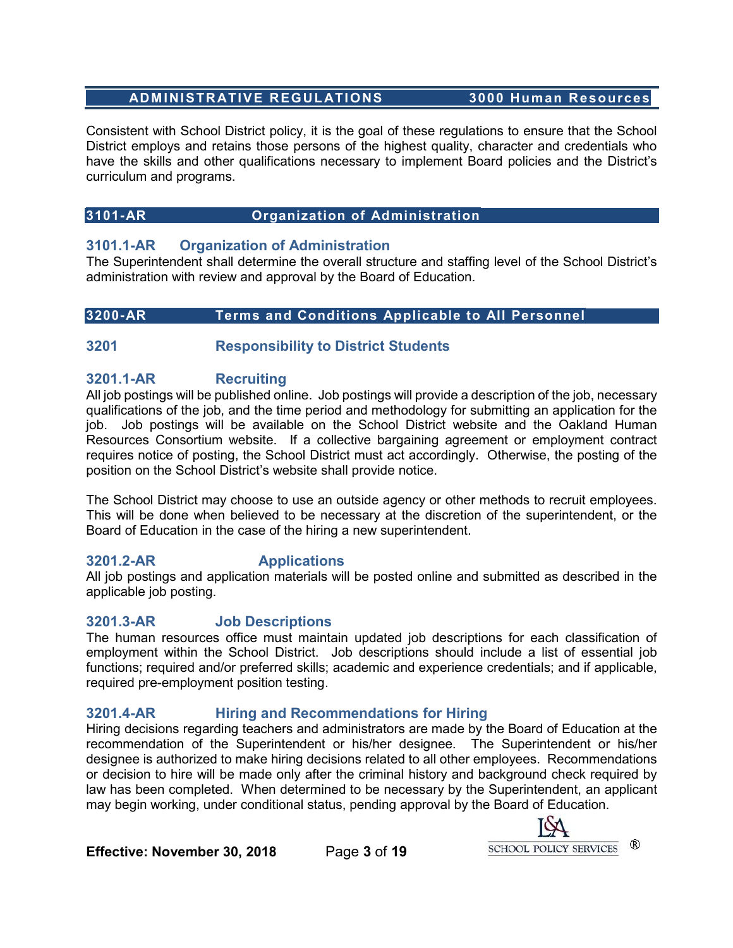# <span id="page-2-0"></span> **ADMINISTRATIVE REGULATIONS 3000 Human Resources**

Consistent with School District policy, it is the goal of these regulations to ensure that the School District employs and retains those persons of the highest quality, character and credentials who have the skills and other qualifications necessary to implement Board policies and the District's curriculum and programs.

# <span id="page-2-1"></span>**3101-AR Organization of Administration**

# <span id="page-2-2"></span>**3101.1-AR Organization of Administration**

The Superintendent shall determine the overall structure and staffing level of the School District's administration with review and approval by the Board of Education.

## <span id="page-2-3"></span>**3200-AR Terms and Conditions Applicable to All Personnel**

# <span id="page-2-4"></span>**3201 Responsibility to District Students**

## <span id="page-2-5"></span>**3201.1-AR Recruiting**

All job postings will be published online. Job postings will provide a description of the job, necessary qualifications of the job, and the time period and methodology for submitting an application for the job. Job postings will be available on the School District website and the Oakland Human Resources Consortium website. If a collective bargaining agreement or employment contract requires notice of posting, the School District must act accordingly. Otherwise, the posting of the position on the School District's website shall provide notice.

The School District may choose to use an outside agency or other methods to recruit employees. This will be done when believed to be necessary at the discretion of the superintendent, or the Board of Education in the case of the hiring a new superintendent.

# <span id="page-2-6"></span>**3201.2-AR Applications**

All job postings and application materials will be posted online and submitted as described in the applicable job posting.

# <span id="page-2-7"></span>**3201.3-AR Job Descriptions**

The human resources office must maintain updated job descriptions for each classification of employment within the School District. Job descriptions should include a list of essential job functions; required and/or preferred skills; academic and experience credentials; and if applicable, required pre-employment position testing.

# <span id="page-2-8"></span>**3201.4-AR Hiring and Recommendations for Hiring**

Hiring decisions regarding teachers and administrators are made by the Board of Education at the recommendation of the Superintendent or his/her designee. The Superintendent or his/her designee is authorized to make hiring decisions related to all other employees. Recommendations or decision to hire will be made only after the criminal history and background check required by law has been completed. When determined to be necessary by the Superintendent, an applicant may begin working, under conditional status, pending approval by the Board of Education.

> $^{\circledR}$ SCHOOL POLICY SERVICES

**Effective: November 30, 2018** Page **3** of **19**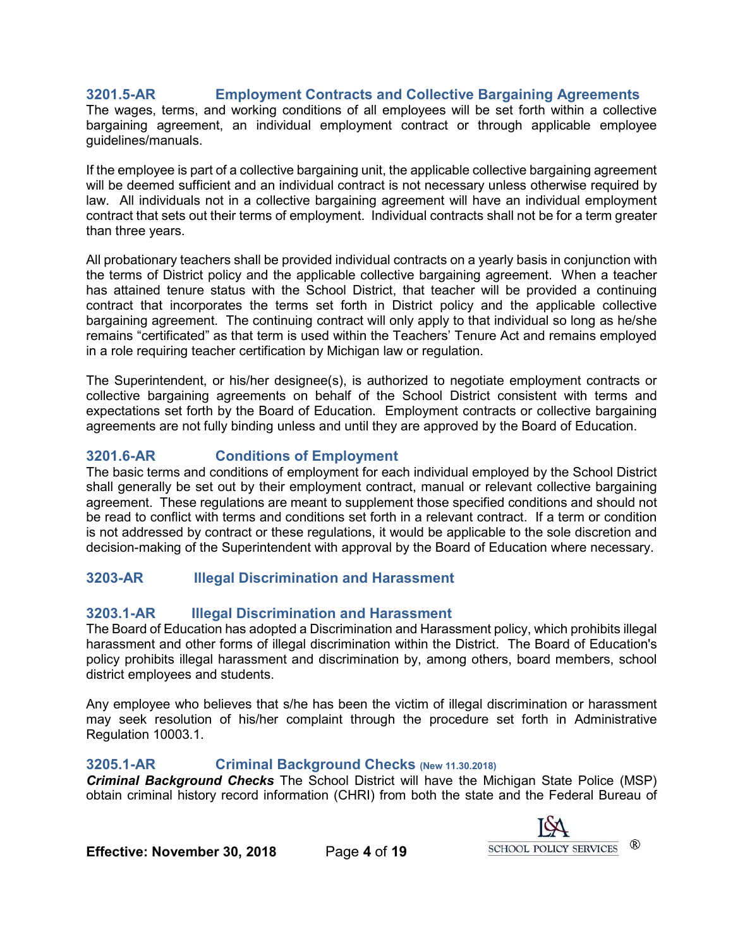# <span id="page-3-0"></span>**3201.5-AR Employment Contracts and Collective Bargaining Agreements**

The wages, terms, and working conditions of all employees will be set forth within a collective bargaining agreement, an individual employment contract or through applicable employee guidelines/manuals.

If the employee is part of a collective bargaining unit, the applicable collective bargaining agreement will be deemed sufficient and an individual contract is not necessary unless otherwise required by law. All individuals not in a collective bargaining agreement will have an individual employment contract that sets out their terms of employment. Individual contracts shall not be for a term greater than three years.

All probationary teachers shall be provided individual contracts on a yearly basis in conjunction with the terms of District policy and the applicable collective bargaining agreement. When a teacher has attained tenure status with the School District, that teacher will be provided a continuing contract that incorporates the terms set forth in District policy and the applicable collective bargaining agreement. The continuing contract will only apply to that individual so long as he/she remains "certificated" as that term is used within the Teachers' Tenure Act and remains employed in a role requiring teacher certification by Michigan law or regulation.

The Superintendent, or his/her designee(s), is authorized to negotiate employment contracts or collective bargaining agreements on behalf of the School District consistent with terms and expectations set forth by the Board of Education. Employment contracts or collective bargaining agreements are not fully binding unless and until they are approved by the Board of Education.

# <span id="page-3-1"></span>**3201.6-AR Conditions of Employment**

The basic terms and conditions of employment for each individual employed by the School District shall generally be set out by their employment contract, manual or relevant collective bargaining agreement. These regulations are meant to supplement those specified conditions and should not be read to conflict with terms and conditions set forth in a relevant contract. If a term or condition is not addressed by contract or these regulations, it would be applicable to the sole discretion and decision-making of the Superintendent with approval by the Board of Education where necessary.

# <span id="page-3-2"></span>**3203-AR Illegal Discrimination and Harassment**

#### <span id="page-3-3"></span>**3203.1-AR Illegal Discrimination and Harassment**

The Board of Education has adopted a Discrimination and Harassment policy, which prohibits illegal harassment and other forms of illegal discrimination within the District. The Board of Education's policy prohibits illegal harassment and discrimination by, among others, board members, school district employees and students.

Any employee who believes that s/he has been the victim of illegal discrimination or harassment may seek resolution of his/her complaint through the procedure set forth in Administrative Regulation 10003.1.

#### <span id="page-3-4"></span>**3205.1-AR Criminal Background Checks (New 11.30.2018)**

*Criminal Background Checks* The School District will have the Michigan State Police (MSP) obtain criminal history record information (CHRI) from both the state and the Federal Bureau of



**Effective: November 30, 2018** Page **4** of **19**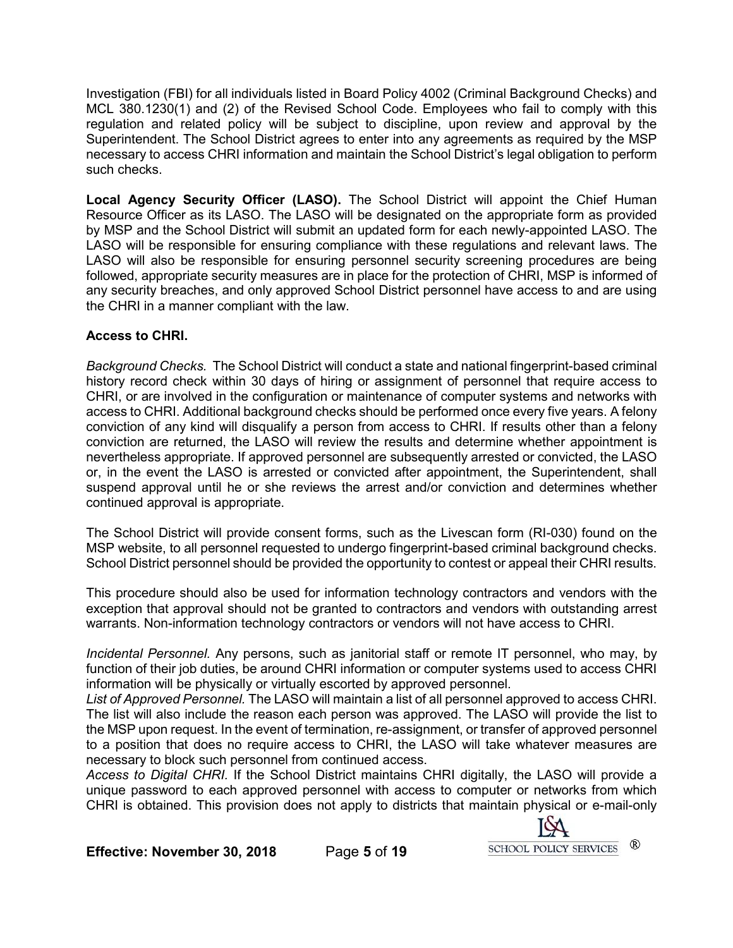Investigation (FBI) for all individuals listed in Board Policy 4002 (Criminal Background Checks) and MCL 380.1230(1) and (2) of the Revised School Code. Employees who fail to comply with this regulation and related policy will be subject to discipline, upon review and approval by the Superintendent. The School District agrees to enter into any agreements as required by the MSP necessary to access CHRI information and maintain the School District's legal obligation to perform such checks.

**Local Agency Security Officer (LASO).** The School District will appoint the Chief Human Resource Officer as its LASO. The LASO will be designated on the appropriate form as provided by MSP and the School District will submit an updated form for each newly-appointed LASO. The LASO will be responsible for ensuring compliance with these regulations and relevant laws. The LASO will also be responsible for ensuring personnel security screening procedures are being followed, appropriate security measures are in place for the protection of CHRI, MSP is informed of any security breaches, and only approved School District personnel have access to and are using the CHRI in a manner compliant with the law.

## **Access to CHRI.**

*Background Checks.* The School District will conduct a state and national fingerprint-based criminal history record check within 30 days of hiring or assignment of personnel that require access to CHRI, or are involved in the configuration or maintenance of computer systems and networks with access to CHRI. Additional background checks should be performed once every five years. A felony conviction of any kind will disqualify a person from access to CHRI. If results other than a felony conviction are returned, the LASO will review the results and determine whether appointment is nevertheless appropriate. If approved personnel are subsequently arrested or convicted, the LASO or, in the event the LASO is arrested or convicted after appointment, the Superintendent, shall suspend approval until he or she reviews the arrest and/or conviction and determines whether continued approval is appropriate.

The School District will provide consent forms, such as the Livescan form (RI-030) found on the MSP website, to all personnel requested to undergo fingerprint-based criminal background checks. School District personnel should be provided the opportunity to contest or appeal their CHRI results.

This procedure should also be used for information technology contractors and vendors with the exception that approval should not be granted to contractors and vendors with outstanding arrest warrants. Non-information technology contractors or vendors will not have access to CHRI.

*Incidental Personnel.* Any persons, such as janitorial staff or remote IT personnel, who may, by function of their job duties, be around CHRI information or computer systems used to access CHRI information will be physically or virtually escorted by approved personnel.

*List of Approved Personnel.* The LASO will maintain a list of all personnel approved to access CHRI. The list will also include the reason each person was approved. The LASO will provide the list to the MSP upon request. In the event of termination, re-assignment, or transfer of approved personnel to a position that does no require access to CHRI, the LASO will take whatever measures are necessary to block such personnel from continued access.

*Access to Digital CHRI.* If the School District maintains CHRI digitally, the LASO will provide a unique password to each approved personnel with access to computer or networks from which CHRI is obtained. This provision does not apply to districts that maintain physical or e-mail-only



**Effective: November 30, 2018** Page **5** of **19**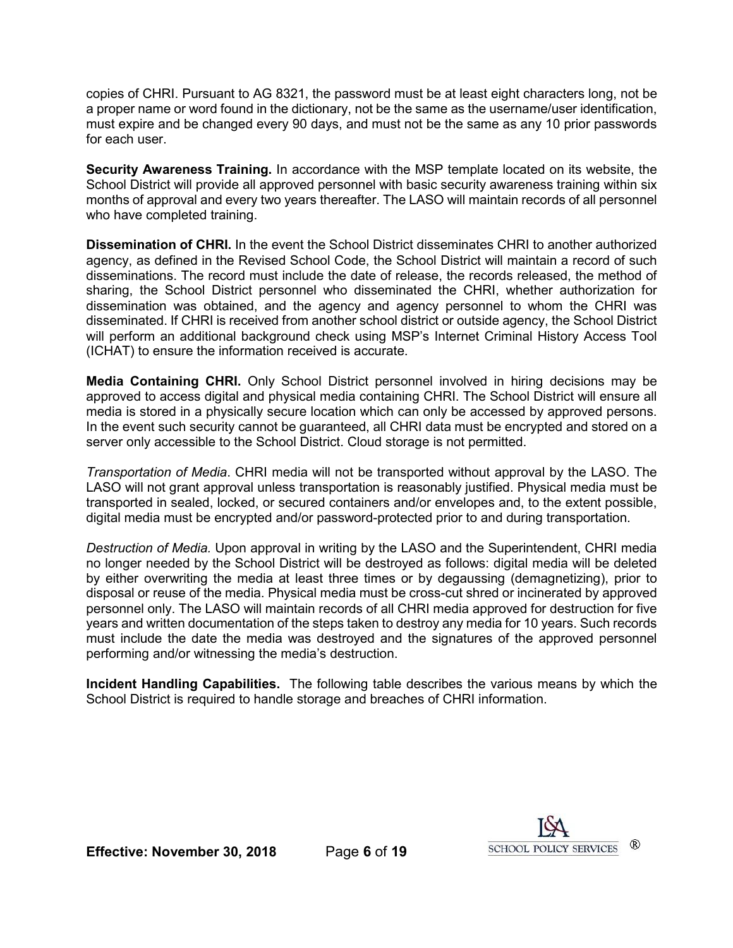copies of CHRI. Pursuant to AG 8321, the password must be at least eight characters long, not be a proper name or word found in the dictionary, not be the same as the username/user identification, must expire and be changed every 90 days, and must not be the same as any 10 prior passwords for each user.

**Security Awareness Training.** In accordance with the MSP template located on its website, the School District will provide all approved personnel with basic security awareness training within six months of approval and every two years thereafter. The LASO will maintain records of all personnel who have completed training.

**Dissemination of CHRI.** In the event the School District disseminates CHRI to another authorized agency, as defined in the Revised School Code, the School District will maintain a record of such disseminations. The record must include the date of release, the records released, the method of sharing, the School District personnel who disseminated the CHRI, whether authorization for dissemination was obtained, and the agency and agency personnel to whom the CHRI was disseminated. If CHRI is received from another school district or outside agency, the School District will perform an additional background check using MSP's Internet Criminal History Access Tool (ICHAT) to ensure the information received is accurate.

**Media Containing CHRI.** Only School District personnel involved in hiring decisions may be approved to access digital and physical media containing CHRI. The School District will ensure all media is stored in a physically secure location which can only be accessed by approved persons. In the event such security cannot be guaranteed, all CHRI data must be encrypted and stored on a server only accessible to the School District. Cloud storage is not permitted.

*Transportation of Media*. CHRI media will not be transported without approval by the LASO. The LASO will not grant approval unless transportation is reasonably justified. Physical media must be transported in sealed, locked, or secured containers and/or envelopes and, to the extent possible, digital media must be encrypted and/or password-protected prior to and during transportation.

*Destruction of Media.* Upon approval in writing by the LASO and the Superintendent, CHRI media no longer needed by the School District will be destroyed as follows: digital media will be deleted by either overwriting the media at least three times or by degaussing (demagnetizing), prior to disposal or reuse of the media. Physical media must be cross-cut shred or incinerated by approved personnel only. The LASO will maintain records of all CHRI media approved for destruction for five years and written documentation of the steps taken to destroy any media for 10 years. Such records must include the date the media was destroyed and the signatures of the approved personnel performing and/or witnessing the media's destruction.

**Incident Handling Capabilities.** The following table describes the various means by which the School District is required to handle storage and breaches of CHRI information.



**Effective: November 30, 2018** Page **6** of **19**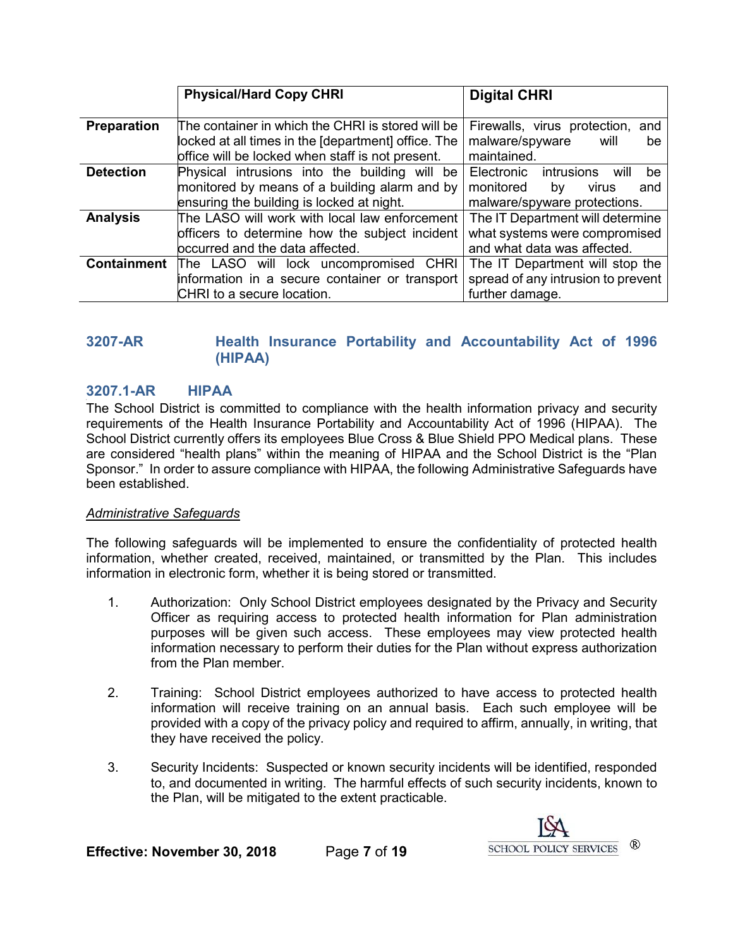|                    | <b>Physical/Hard Copy CHRI</b>                                                                                                                               | <b>Digital CHRI</b>                                                                                       |
|--------------------|--------------------------------------------------------------------------------------------------------------------------------------------------------------|-----------------------------------------------------------------------------------------------------------|
| <b>Preparation</b> | The container in which the CHRI is stored will be<br>locked at all times in the [department] office. The<br>office will be locked when staff is not present. | Firewalls, virus protection, and<br>malware/spyware<br>will<br>be<br>maintained.                          |
| <b>Detection</b>   | Physical intrusions into the building will be<br>monitored by means of a building alarm and by<br>ensuring the building is locked at night.                  | Electronic<br>intrusions<br>be<br>will<br>monitored<br>by<br>virus<br>and<br>malware/spyware protections. |
| <b>Analysis</b>    | The LASO will work with local law enforcement<br>officers to determine how the subject incident<br>bccurred and the data affected.                           | The IT Department will determine<br>what systems were compromised<br>and what data was affected.          |
| <b>Containment</b> | The LASO will lock uncompromised CHRI<br>information in a secure container or transport                                                                      | The IT Department will stop the<br>spread of any intrusion to prevent                                     |
|                    | CHRI to a secure location.                                                                                                                                   | further damage.                                                                                           |

# <span id="page-6-0"></span>**3207-AR Health Insurance Portability and Accountability Act of 1996 (HIPAA)**

#### <span id="page-6-1"></span>**3207.1 <sup>3</sup> -AR HIPAA**

The School District is committed to compliance with the health information privacy and security requirements of the Health Insurance Portability and Accountability Act of 1996 (HIPAA). The School District currently offers its employees Blue Cross & Blue Shield PPO Medical plans. These are considered "health plans" within the meaning of HIPAA and the School District is the "Plan Sponsor." In order to assure compliance with HIPAA, the following Administrative Safeguards have been established.

#### *Administrative Safeguards*

The following safeguards will be implemented to ensure the confidentiality of protected health information, whether created, received, maintained, or transmitted by the Plan. This includes information in electronic form, whether it is being stored or transmitted.

- 1. Authorization: Only School District employees designated by the Privacy and Security Officer as requiring access to protected health information for Plan administration purposes will be given such access. These employees may view protected health information necessary to perform their duties for the Plan without express authorization from the Plan member.
- 2. Training: School District employees authorized to have access to protected health information will receive training on an annual basis. Each such employee will be provided with a copy of the privacy policy and required to affirm, annually, in writing, that they have received the policy.
- 3. Security Incidents: Suspected or known security incidents will be identified, responded to, and documented in writing. The harmful effects of such security incidents, known to the Plan, will be mitigated to the extent practicable.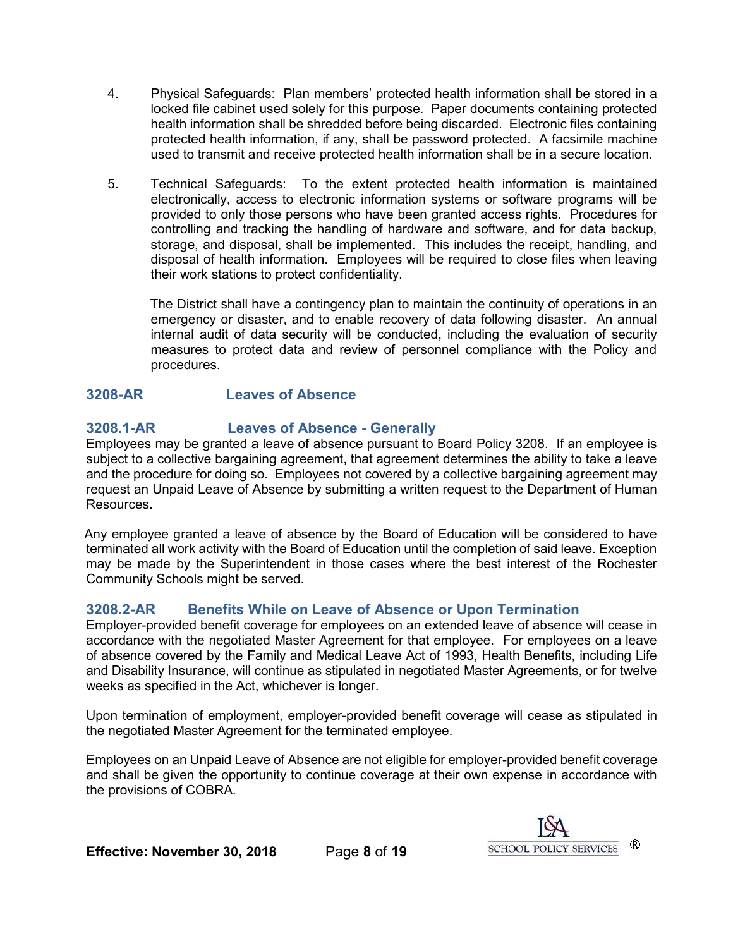- 4. Physical Safeguards: Plan members' protected health information shall be stored in a locked file cabinet used solely for this purpose. Paper documents containing protected health information shall be shredded before being discarded. Electronic files containing protected health information, if any, shall be password protected. A facsimile machine used to transmit and receive protected health information shall be in a secure location.
- 5. Technical Safeguards: To the extent protected health information is maintained electronically, access to electronic information systems or software programs will be provided to only those persons who have been granted access rights. Procedures for controlling and tracking the handling of hardware and software, and for data backup, storage, and disposal, shall be implemented. This includes the receipt, handling, and disposal of health information. Employees will be required to close files when leaving their work stations to protect confidentiality.

The District shall have a contingency plan to maintain the continuity of operations in an emergency or disaster, and to enable recovery of data following disaster. An annual internal audit of data security will be conducted, including the evaluation of security measures to protect data and review of personnel compliance with the Policy and procedures.

# <span id="page-7-0"></span>**3208-AR Leaves of Absence**

# <span id="page-7-1"></span>**3208.1-AR Leaves of Absence - Generally**

Employees may be granted a leave of absence pursuant to Board Policy 3208. If an employee is subject to a collective bargaining agreement, that agreement determines the ability to take a leave and the procedure for doing so. Employees not covered by a collective bargaining agreement may request an Unpaid Leave of Absence by submitting a written request to the Department of Human Resources.

Any employee granted a leave of absence by the Board of Education will be considered to have terminated all work activity with the Board of Education until the completion of said leave. Exception may be made by the Superintendent in those cases where the best interest of the Rochester Community Schools might be served.

# <span id="page-7-2"></span>**3208.2-AR Benefits While on Leave of Absence or Upon Termination**

Employer-provided benefit coverage for employees on an extended leave of absence will cease in accordance with the negotiated Master Agreement for that employee. For employees on a leave of absence covered by the Family and Medical Leave Act of 1993, Health Benefits, including Life and Disability Insurance, will continue as stipulated in negotiated Master Agreements, or for twelve weeks as specified in the Act, whichever is longer.

Upon termination of employment, employer-provided benefit coverage will cease as stipulated in the negotiated Master Agreement for the terminated employee.

Employees on an Unpaid Leave of Absence are not eligible for employer-provided benefit coverage and shall be given the opportunity to continue coverage at their own expense in accordance with the provisions of COBRA.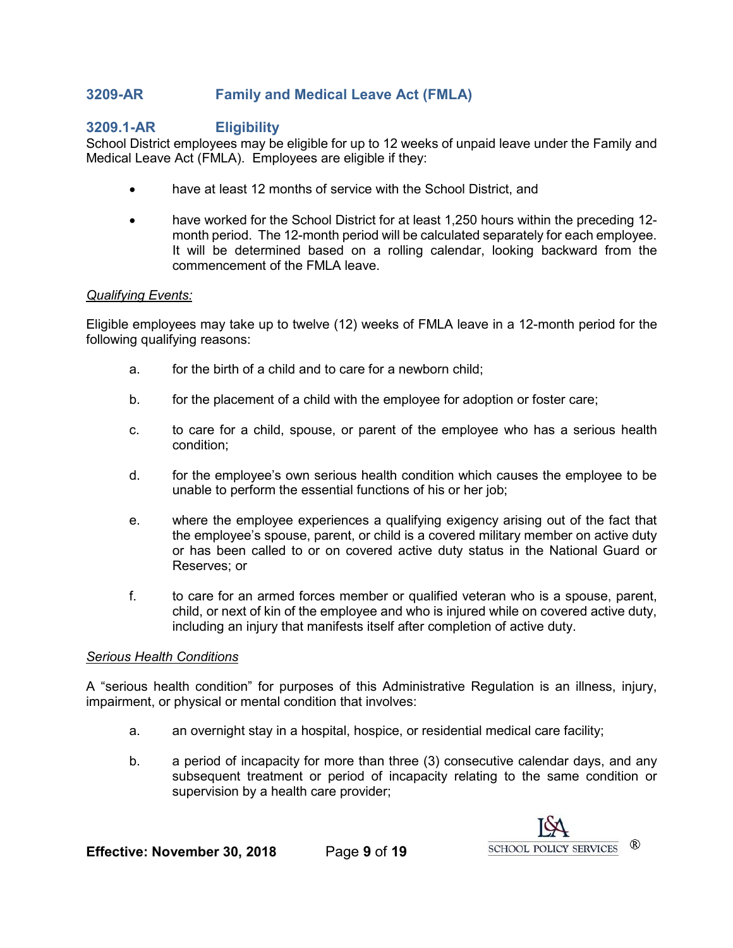# <span id="page-8-0"></span>**3209-AR Family and Medical Leave Act (FMLA)**

## <span id="page-8-1"></span>**3209.1-AR Eligibility**

School District employees may be eligible for up to 12 weeks of unpaid leave under the Family and Medical Leave Act (FMLA). Employees are eligible if they:

- have at least 12 months of service with the School District, and
- have worked for the School District for at least 1,250 hours within the preceding 12month period. The 12-month period will be calculated separately for each employee. It will be determined based on a rolling calendar, looking backward from the commencement of the FMLA leave.

#### *Qualifying Events:*

Eligible employees may take up to twelve (12) weeks of FMLA leave in a 12-month period for the following qualifying reasons:

- a. for the birth of a child and to care for a newborn child;
- b. for the placement of a child with the employee for adoption or foster care;
- c. to care for a child, spouse, or parent of the employee who has a serious health condition;
- d. for the employee's own serious health condition which causes the employee to be unable to perform the essential functions of his or her job;
- e. where the employee experiences a qualifying exigency arising out of the fact that the employee's spouse, parent, or child is a covered military member on active duty or has been called to or on covered active duty status in the National Guard or Reserves; or
- f. to care for an armed forces member or qualified veteran who is a spouse, parent, child, or next of kin of the employee and who is injured while on covered active duty, including an injury that manifests itself after completion of active duty.

#### *Serious Health Conditions*

A "serious health condition" for purposes of this Administrative Regulation is an illness, injury, impairment, or physical or mental condition that involves:

- a. an overnight stay in a hospital, hospice, or residential medical care facility;
- b. a period of incapacity for more than three (3) consecutive calendar days, and any subsequent treatment or period of incapacity relating to the same condition or supervision by a health care provider;

**Effective: November 30, 2018** Page **9** of **19**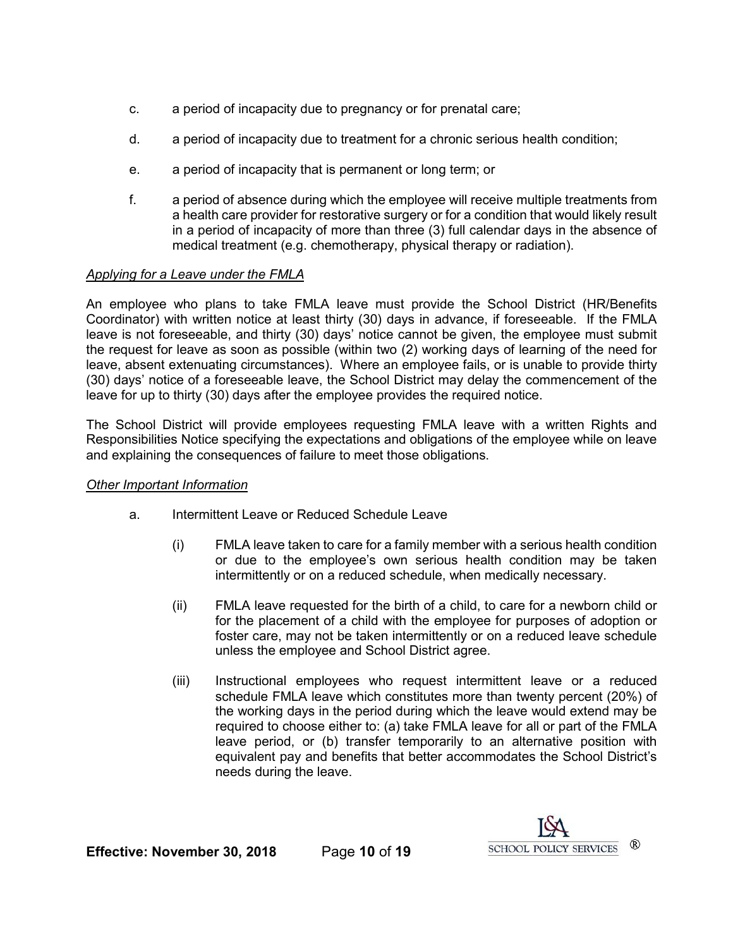- c. a period of incapacity due to pregnancy or for prenatal care;
- d. a period of incapacity due to treatment for a chronic serious health condition;
- e. a period of incapacity that is permanent or long term; or
- f. a period of absence during which the employee will receive multiple treatments from a health care provider for restorative surgery or for a condition that would likely result in a period of incapacity of more than three (3) full calendar days in the absence of medical treatment (e.g. chemotherapy, physical therapy or radiation).

## *Applying for a Leave under the FMLA*

An employee who plans to take FMLA leave must provide the School District (HR/Benefits Coordinator) with written notice at least thirty (30) days in advance, if foreseeable. If the FMLA leave is not foreseeable, and thirty (30) days' notice cannot be given, the employee must submit the request for leave as soon as possible (within two (2) working days of learning of the need for leave, absent extenuating circumstances). Where an employee fails, or is unable to provide thirty (30) days' notice of a foreseeable leave, the School District may delay the commencement of the leave for up to thirty (30) days after the employee provides the required notice.

The School District will provide employees requesting FMLA leave with a written Rights and Responsibilities Notice specifying the expectations and obligations of the employee while on leave and explaining the consequences of failure to meet those obligations.

#### *Other Important Information*

- a. Intermittent Leave or Reduced Schedule Leave
	- (i) FMLA leave taken to care for a family member with a serious health condition or due to the employee's own serious health condition may be taken intermittently or on a reduced schedule, when medically necessary.
	- (ii) FMLA leave requested for the birth of a child, to care for a newborn child or for the placement of a child with the employee for purposes of adoption or foster care, may not be taken intermittently or on a reduced leave schedule unless the employee and School District agree.
	- (iii) Instructional employees who request intermittent leave or a reduced schedule FMLA leave which constitutes more than twenty percent (20%) of the working days in the period during which the leave would extend may be required to choose either to: (a) take FMLA leave for all or part of the FMLA leave period, or (b) transfer temporarily to an alternative position with equivalent pay and benefits that better accommodates the School District's needs during the leave.

**Effective: November 30, 2018** Page **10** of **19**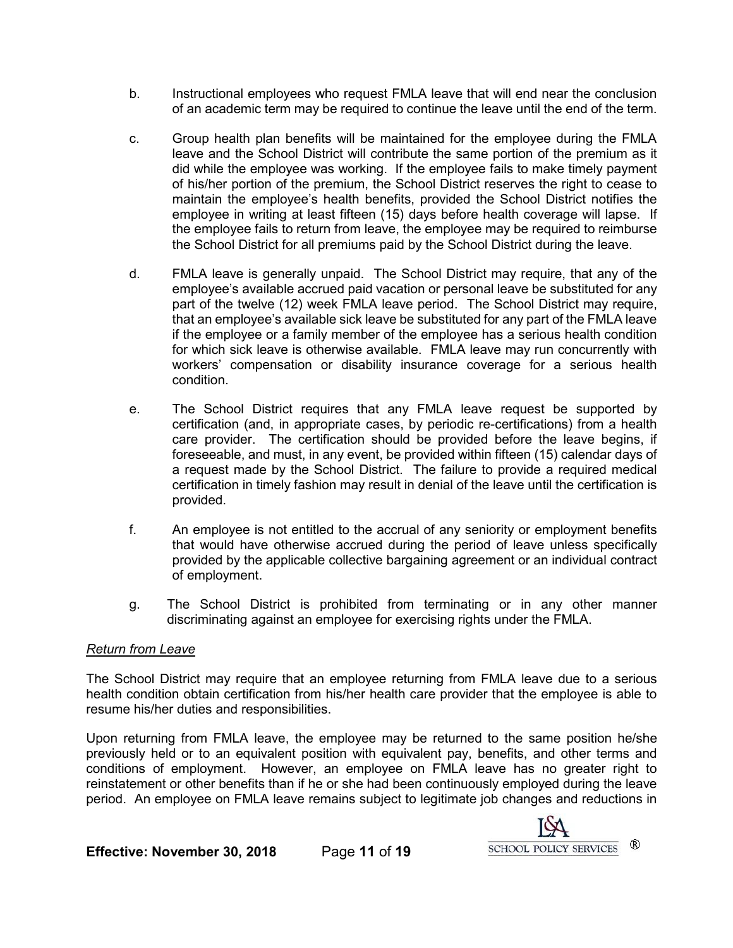- b. Instructional employees who request FMLA leave that will end near the conclusion of an academic term may be required to continue the leave until the end of the term.
- c. Group health plan benefits will be maintained for the employee during the FMLA leave and the School District will contribute the same portion of the premium as it did while the employee was working. If the employee fails to make timely payment of his/her portion of the premium, the School District reserves the right to cease to maintain the employee's health benefits, provided the School District notifies the employee in writing at least fifteen (15) days before health coverage will lapse. If the employee fails to return from leave, the employee may be required to reimburse the School District for all premiums paid by the School District during the leave.
- d. FMLA leave is generally unpaid. The School District may require, that any of the employee's available accrued paid vacation or personal leave be substituted for any part of the twelve (12) week FMLA leave period. The School District may require, that an employee's available sick leave be substituted for any part of the FMLA leave if the employee or a family member of the employee has a serious health condition for which sick leave is otherwise available. FMLA leave may run concurrently with workers' compensation or disability insurance coverage for a serious health condition.
- e. The School District requires that any FMLA leave request be supported by certification (and, in appropriate cases, by periodic re-certifications) from a health care provider. The certification should be provided before the leave begins, if foreseeable, and must, in any event, be provided within fifteen (15) calendar days of a request made by the School District. The failure to provide a required medical certification in timely fashion may result in denial of the leave until the certification is provided.
- f. An employee is not entitled to the accrual of any seniority or employment benefits that would have otherwise accrued during the period of leave unless specifically provided by the applicable collective bargaining agreement or an individual contract of employment.
- g. The School District is prohibited from terminating or in any other manner discriminating against an employee for exercising rights under the FMLA.

#### *Return from Leave*

The School District may require that an employee returning from FMLA leave due to a serious health condition obtain certification from his/her health care provider that the employee is able to resume his/her duties and responsibilities.

Upon returning from FMLA leave, the employee may be returned to the same position he/she previously held or to an equivalent position with equivalent pay, benefits, and other terms and conditions of employment. However, an employee on FMLA leave has no greater right to reinstatement or other benefits than if he or she had been continuously employed during the leave period. An employee on FMLA leave remains subject to legitimate job changes and reductions in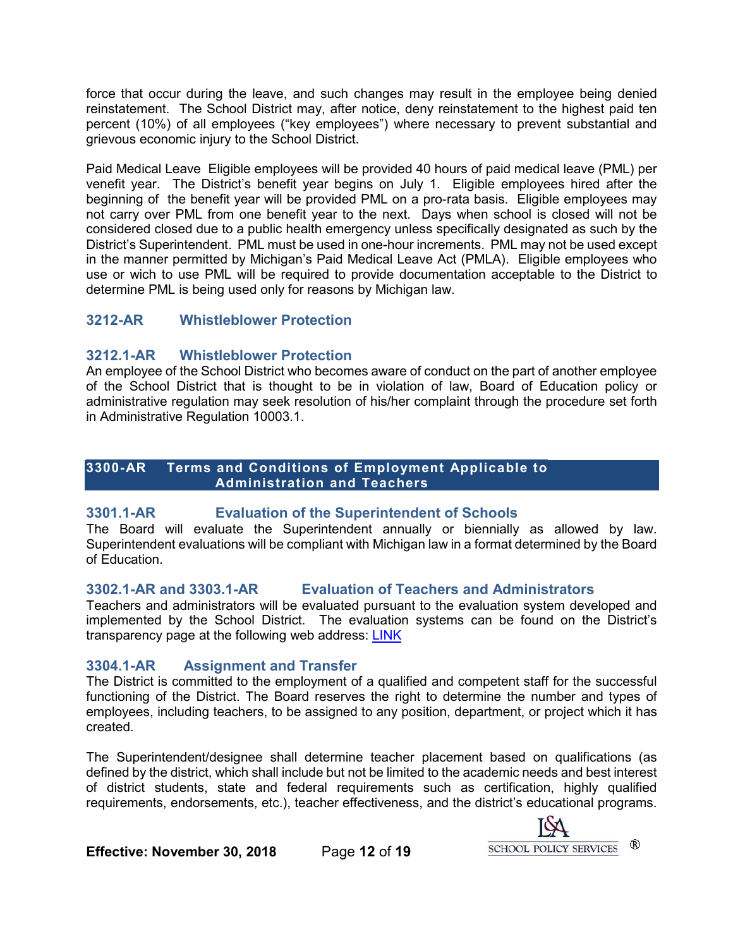force that occur during the leave, and such changes may result in the employee being denied reinstatement. The School District may, after notice, deny reinstatement to the highest paid ten percent (10%) of all employees ("key employees") where necessary to prevent substantial and grievous economic injury to the School District.

Paid Medical Leave Eligible employees will be provided 40 hours of paid medical leave (PML) per venefit year. The District's benefit year begins on July 1. Eligible employees hired after the beginning of the benefit year will be provided PML on a pro-rata basis. Eligible employees may not carry over PML from one benefit year to the next. Days when school is closed will not be considered closed due to a public health emergency unless specifically designated as such by the District's Superintendent. PML must be used in one-hour increments. PML may not be used except in the manner permitted by Michigan's Paid Medical Leave Act (PMLA). Eligible employees who use or wich to use PML will be required to provide documentation acceptable to the District to determine PML is being used only for reasons by Michigan law.

# <span id="page-11-0"></span>**3212-AR Whistleblower Protection**

# <span id="page-11-1"></span>**3212.1-AR Whistleblower Protection**

An employee of the School District who becomes aware of conduct on the part of another employee of the School District that is thought to be in violation of law, Board of Education policy or administrative regulation may seek resolution of his/her complaint through the procedure set forth in Administrative Regulation 10003.1.

#### <span id="page-11-2"></span>**3300-AR Terms and Conditions of Employment Applicable to Administration and Teachers**

# <span id="page-11-3"></span>**3301.1-AR Evaluation of the Superintendent of Schools**

The Board will evaluate the Superintendent annually or biennially as allowed by law. Superintendent evaluations will be compliant with Michigan law in a format determined by the Board of Education.

# <span id="page-11-4"></span>**3302.1-AR and 3303.1-AR Evaluation of Teachers and Administrators**

Teachers and administrators will be evaluated pursuant to the evaluation system developed and implemented by the School District. The evaluation systems can be found on the District's transparency page at the following web address: [LINK](https://www.rochester.k12.mi.us/about-us/transparency-reporting)

# <span id="page-11-5"></span>**3304.1-AR Assignment and Transfer**

The District is committed to the employment of a qualified and competent staff for the successful functioning of the District. The Board reserves the right to determine the number and types of employees, including teachers, to be assigned to any position, department, or project which it has created.

The Superintendent/designee shall determine teacher placement based on qualifications (as defined by the district, which shall include but not be limited to the academic needs and best interest of district students, state and federal requirements such as certification, highly qualified requirements, endorsements, etc.), teacher effectiveness, and the district's educational programs.



**Effective: November 30, 2018** Page **12** of **19**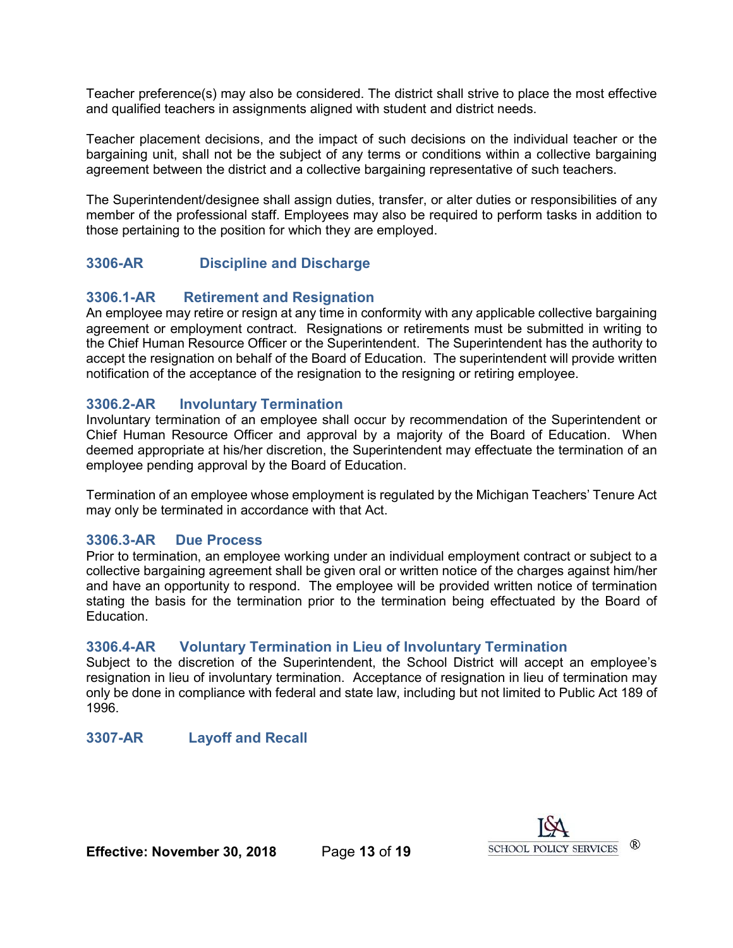Teacher preference(s) may also be considered. The district shall strive to place the most effective and qualified teachers in assignments aligned with student and district needs.

Teacher placement decisions, and the impact of such decisions on the individual teacher or the bargaining unit, shall not be the subject of any terms or conditions within a collective bargaining agreement between the district and a collective bargaining representative of such teachers.

The Superintendent/designee shall assign duties, transfer, or alter duties or responsibilities of any member of the professional staff. Employees may also be required to perform tasks in addition to those pertaining to the position for which they are employed.

# <span id="page-12-0"></span>**3306-AR Discipline and Discharge**

# <span id="page-12-1"></span>**3306.1-AR Retirement and Resignation**

An employee may retire or resign at any time in conformity with any applicable collective bargaining agreement or employment contract. Resignations or retirements must be submitted in writing to the Chief Human Resource Officer or the Superintendent. The Superintendent has the authority to accept the resignation on behalf of the Board of Education. The superintendent will provide written notification of the acceptance of the resignation to the resigning or retiring employee.

# <span id="page-12-2"></span>**3306.2-AR Involuntary Termination**

Involuntary termination of an employee shall occur by recommendation of the Superintendent or Chief Human Resource Officer and approval by a majority of the Board of Education. When deemed appropriate at his/her discretion, the Superintendent may effectuate the termination of an employee pending approval by the Board of Education.

Termination of an employee whose employment is regulated by the Michigan Teachers' Tenure Act may only be terminated in accordance with that Act.

# <span id="page-12-3"></span>**3306.3-AR Due Process**

Prior to termination, an employee working under an individual employment contract or subject to a collective bargaining agreement shall be given oral or written notice of the charges against him/her and have an opportunity to respond. The employee will be provided written notice of termination stating the basis for the termination prior to the termination being effectuated by the Board of Education.

# <span id="page-12-4"></span>**3306.4-AR Voluntary Termination in Lieu of Involuntary Termination**

Subject to the discretion of the Superintendent, the School District will accept an employee's resignation in lieu of involuntary termination. Acceptance of resignation in lieu of termination may only be done in compliance with federal and state law, including but not limited to Public Act 189 of 1996.

# <span id="page-12-5"></span>**3307-AR Layoff and Recall**



**Effective: November 30, 2018** Page **13** of **19**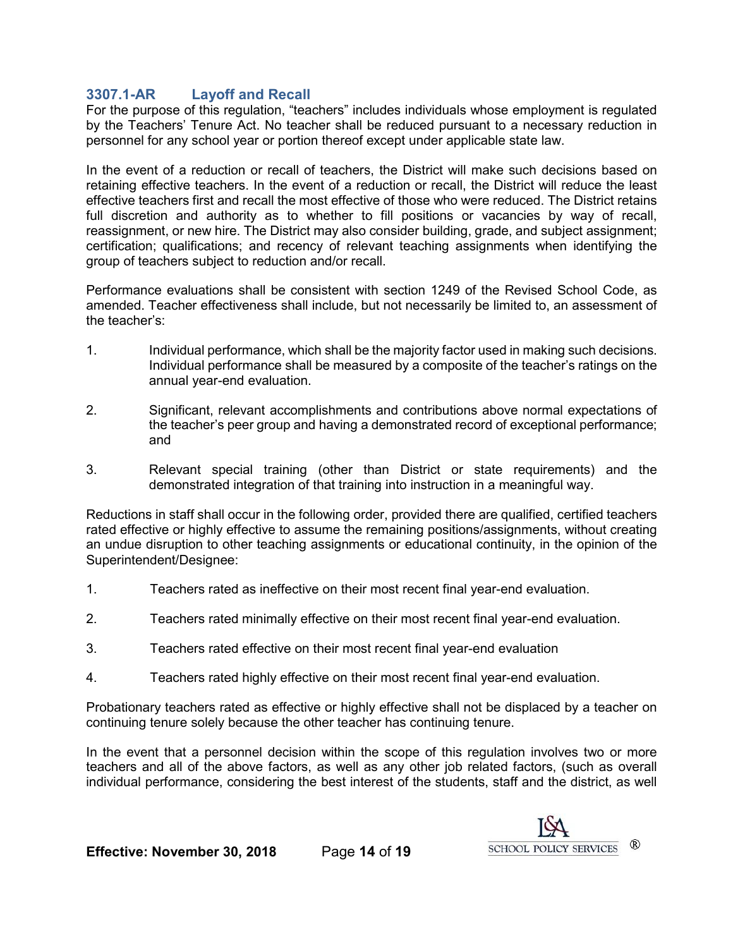# <span id="page-13-0"></span>**3307.1-AR Layoff and Recall**

For the purpose of this regulation, "teachers" includes individuals whose employment is regulated by the Teachers' Tenure Act. No teacher shall be reduced pursuant to a necessary reduction in personnel for any school year or portion thereof except under applicable state law.

In the event of a reduction or recall of teachers, the District will make such decisions based on retaining effective teachers. In the event of a reduction or recall, the District will reduce the least effective teachers first and recall the most effective of those who were reduced. The District retains full discretion and authority as to whether to fill positions or vacancies by way of recall, reassignment, or new hire. The District may also consider building, grade, and subject assignment; certification; qualifications; and recency of relevant teaching assignments when identifying the group of teachers subject to reduction and/or recall.

Performance evaluations shall be consistent with section 1249 of the Revised School Code, as amended. Teacher effectiveness shall include, but not necessarily be limited to, an assessment of the teacher's:

- 1. Individual performance, which shall be the majority factor used in making such decisions. Individual performance shall be measured by a composite of the teacher's ratings on the annual year-end evaluation.
- 2. Significant, relevant accomplishments and contributions above normal expectations of the teacher's peer group and having a demonstrated record of exceptional performance; and
- 3. Relevant special training (other than District or state requirements) and the demonstrated integration of that training into instruction in a meaningful way.

Reductions in staff shall occur in the following order, provided there are qualified, certified teachers rated effective or highly effective to assume the remaining positions/assignments, without creating an undue disruption to other teaching assignments or educational continuity, in the opinion of the Superintendent/Designee:

- 1. Teachers rated as ineffective on their most recent final year-end evaluation.
- 2. Teachers rated minimally effective on their most recent final year-end evaluation.
- 3. Teachers rated effective on their most recent final year-end evaluation
- 4. Teachers rated highly effective on their most recent final year-end evaluation.

Probationary teachers rated as effective or highly effective shall not be displaced by a teacher on continuing tenure solely because the other teacher has continuing tenure.

In the event that a personnel decision within the scope of this regulation involves two or more teachers and all of the above factors, as well as any other job related factors, (such as overall individual performance, considering the best interest of the students, staff and the district, as well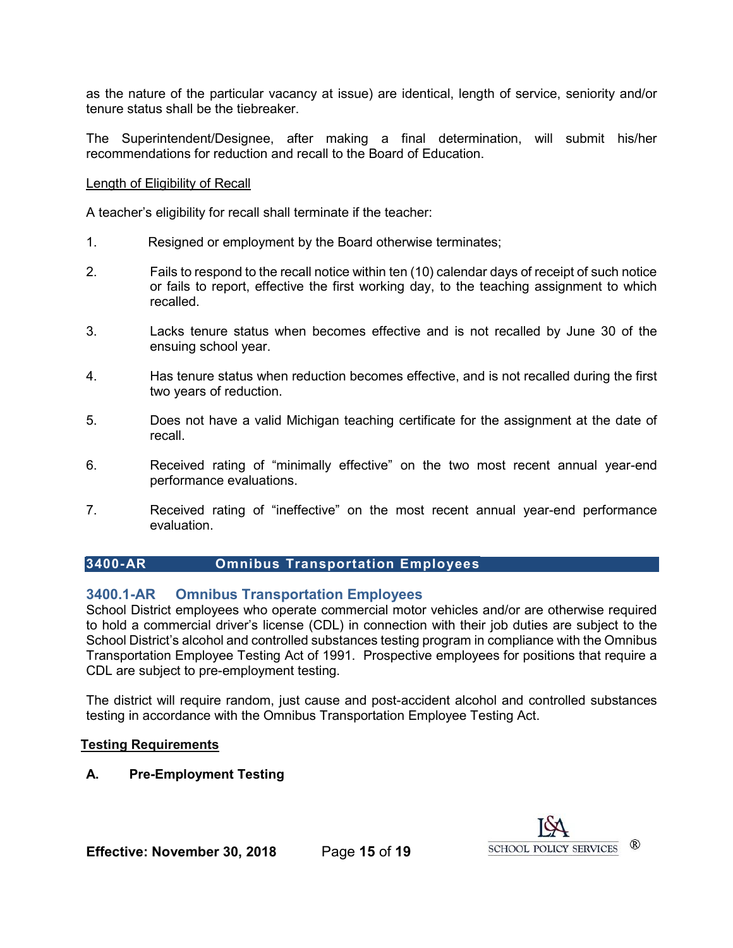as the nature of the particular vacancy at issue) are identical, length of service, seniority and/or tenure status shall be the tiebreaker.

The Superintendent/Designee, after making a final determination, will submit his/her recommendations for reduction and recall to the Board of Education.

#### Length of Eligibility of Recall

A teacher's eligibility for recall shall terminate if the teacher:

- 1. Resigned or employment by the Board otherwise terminates;
- 2. Fails to respond to the recall notice within ten (10) calendar days of receipt of such notice or fails to report, effective the first working day, to the teaching assignment to which recalled.
- 3. Lacks tenure status when becomes effective and is not recalled by June 30 of the ensuing school year.
- 4. Has tenure status when reduction becomes effective, and is not recalled during the first two years of reduction.
- 5. Does not have a valid Michigan teaching certificate for the assignment at the date of recall.
- 6. Received rating of "minimally effective" on the two most recent annual year-end performance evaluations.
- 7. Received rating of "ineffective" on the most recent annual year-end performance evaluation.

# <span id="page-14-0"></span>**3400-AR Omnibus Transportation Employees**

# <span id="page-14-1"></span>**3400.1-AR Omnibus Transportation Employees**

School District employees who operate commercial motor vehicles and/or are otherwise required to hold a commercial driver's license (CDL) in connection with their job duties are subject to the School District's alcohol and controlled substances testing program in compliance with the Omnibus Transportation Employee Testing Act of 1991. Prospective employees for positions that require a CDL are subject to pre-employment testing.

The district will require random, just cause and post-accident alcohol and controlled substances testing in accordance with the Omnibus Transportation Employee Testing Act.

#### **Testing Requirements**

# **A. Pre-Employment Testing**

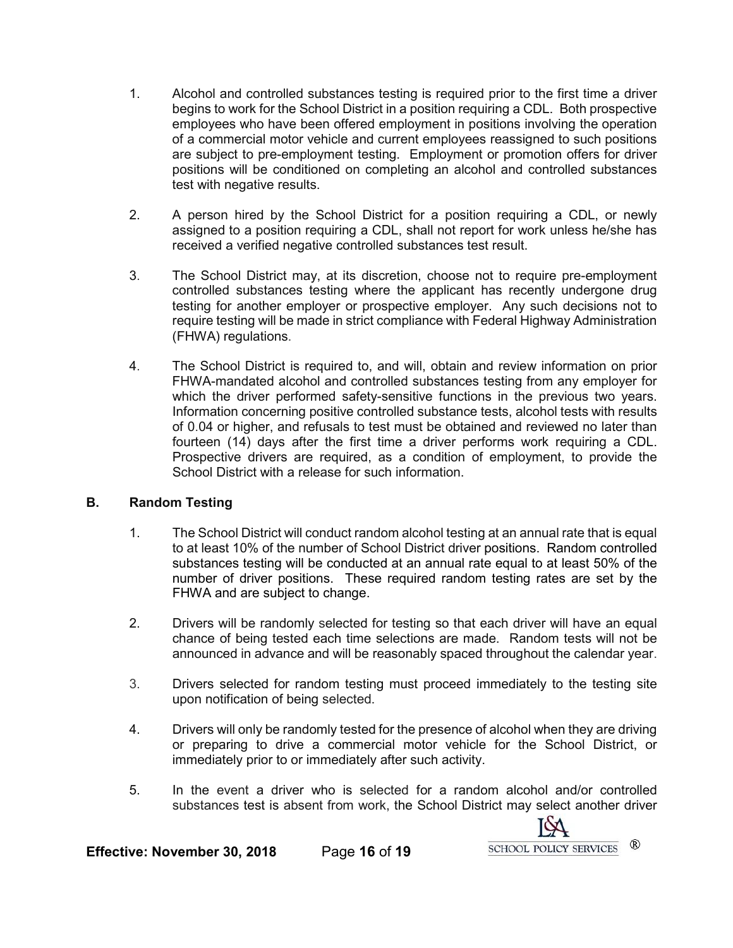- 1. Alcohol and controlled substances testing is required prior to the first time a driver begins to work for the School District in a position requiring a CDL. Both prospective employees who have been offered employment in positions involving the operation of a commercial motor vehicle and current employees reassigned to such positions are subject to pre-employment testing. Employment or promotion offers for driver positions will be conditioned on completing an alcohol and controlled substances test with negative results.
- 2. A person hired by the School District for a position requiring a CDL, or newly assigned to a position requiring a CDL, shall not report for work unless he/she has received a verified negative controlled substances test result.
- 3. The School District may, at its discretion, choose not to require pre-employment controlled substances testing where the applicant has recently undergone drug testing for another employer or prospective employer. Any such decisions not to require testing will be made in strict compliance with Federal Highway Administration (FHWA) regulations.
- 4. The School District is required to, and will, obtain and review information on prior FHWA-mandated alcohol and controlled substances testing from any employer for which the driver performed safety-sensitive functions in the previous two years. Information concerning positive controlled substance tests, alcohol tests with results of 0.04 or higher, and refusals to test must be obtained and reviewed no later than fourteen (14) days after the first time a driver performs work requiring a CDL. Prospective drivers are required, as a condition of employment, to provide the School District with a release for such information.

#### **B. Random Testing**

- 1. The School District will conduct random alcohol testing at an annual rate that is equal to at least 10% of the number of School District driver positions. Random controlled substances testing will be conducted at an annual rate equal to at least 50% of the number of driver positions. These required random testing rates are set by the FHWA and are subject to change.
- 2. Drivers will be randomly selected for testing so that each driver will have an equal chance of being tested each time selections are made. Random tests will not be announced in advance and will be reasonably spaced throughout the calendar year.
- 3. Drivers selected for random testing must proceed immediately to the testing site upon notification of being selected.
- 4. Drivers will only be randomly tested for the presence of alcohol when they are driving or preparing to drive a commercial motor vehicle for the School District, or immediately prior to or immediately after such activity.
- 5. In the event a driver who is selected for a random alcohol and/or controlled substances test is absent from work, the School District may select another driver



**Effective: November 30, 2018** Page **16** of **19**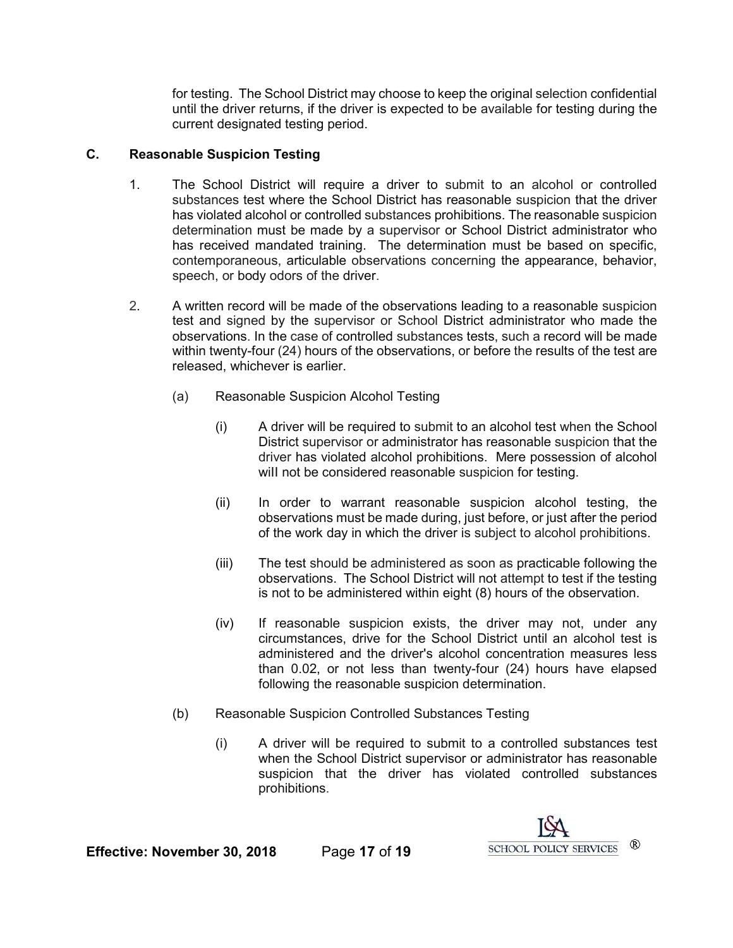for testing. The School District may choose to keep the original selection confidential until the driver returns, if the driver is expected to be available for testing during the current designated testing period.

# **C. Reasonable Suspicion Testing**

- 1. The School District will require a driver to submit to an alcohol or controlled substances test where the School District has reasonable suspicion that the driver has violated alcohol or controlled substances prohibitions. The reasonable suspicion determination must be made by a supervisor or School District administrator who has received mandated training. The determination must be based on specific, contemporaneous, articulable observations concerning the appearance, behavior, speech, or body odors of the driver.
- 2. A written record will be made of the observations leading to a reasonable suspicion test and signed by the supervisor or School District administrator who made the observations. In the case of controlled substances tests, such a record will be made within twenty-four (24) hours of the observations, or before the results of the test are released, whichever is earlier.
	- (a) Reasonable Suspicion Alcohol Testing
		- (i) A driver will be required to submit to an alcohol test when the School District supervisor or administrator has reasonable suspicion that the driver has violated alcohol prohibitions. Mere possession of alcohol will not be considered reasonable suspicion for testing.
		- (ii) In order to warrant reasonable suspicion alcohol testing, the observations must be made during, just before, or just after the period of the work day in which the driver is subject to alcohol prohibitions.
		- (iii) The test should be administered as soon as practicable following the observations. The School District will not attempt to test if the testing is not to be administered within eight (8) hours of the observation.
		- (iv) If reasonable suspicion exists, the driver may not, under any circumstances, drive for the School District until an alcohol test is administered and the driver's alcohol concentration measures less than 0.02, or not less than twenty-four (24) hours have elapsed following the reasonable suspicion determination.
	- (b) Reasonable Suspicion Controlled Substances Testing
		- (i) A driver will be required to submit to a controlled substances test when the School District supervisor or administrator has reasonable suspicion that the driver has violated controlled substances prohibitions.

**Effective: November 30, 2018** Page **17** of **19**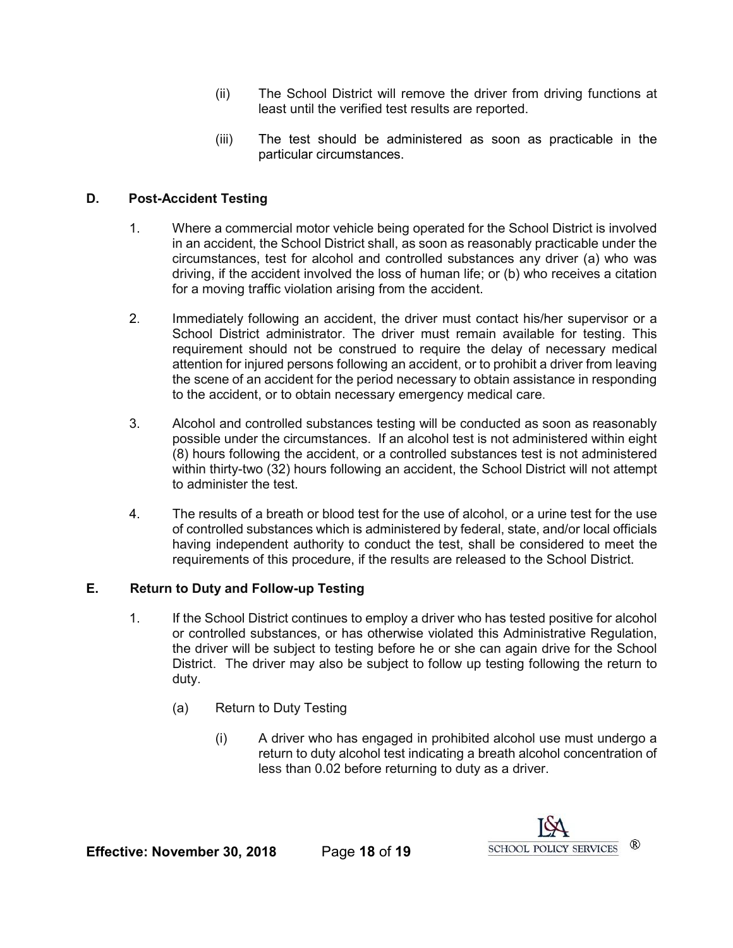- (ii) The School District will remove the driver from driving functions at least until the verified test results are reported.
- (iii) The test should be administered as soon as practicable in the particular circumstances.

# **D. Post-Accident Testing**

- 1. Where a commercial motor vehicle being operated for the School District is involved in an accident, the School District shall, as soon as reasonably practicable under the circumstances, test for alcohol and controlled substances any driver (a) who was driving, if the accident involved the loss of human life; or (b) who receives a citation for a moving traffic violation arising from the accident.
- 2. Immediately following an accident, the driver must contact his/her supervisor or a School District administrator. The driver must remain available for testing. This requirement should not be construed to require the delay of necessary medical attention for injured persons following an accident, or to prohibit a driver from leaving the scene of an accident for the period necessary to obtain assistance in responding to the accident, or to obtain necessary emergency medical care.
- 3. Alcohol and controlled substances testing will be conducted as soon as reasonably possible under the circumstances. If an alcohol test is not administered within eight (8) hours following the accident, or a controlled substances test is not administered within thirty-two (32) hours following an accident, the School District will not attempt to administer the test.
- 4. The results of a breath or blood test for the use of alcohol, or a urine test for the use of controlled substances which is administered by federal, state, and/or local officials having independent authority to conduct the test, shall be considered to meet the requirements of this procedure, if the results are released to the School District.

#### **E. Return to Duty and Follow-up Testing**

- 1. If the School District continues to employ a driver who has tested positive for alcohol or controlled substances, or has otherwise violated this Administrative Regulation, the driver will be subject to testing before he or she can again drive for the School District. The driver may also be subject to follow up testing following the return to duty.
	- (a) Return to Duty Testing
		- (i) A driver who has engaged in prohibited alcohol use must undergo a return to duty alcohol test indicating a breath alcohol concentration of less than 0.02 before returning to duty as a driver.

**Effective: November 30, 2018** Page 18 of 19